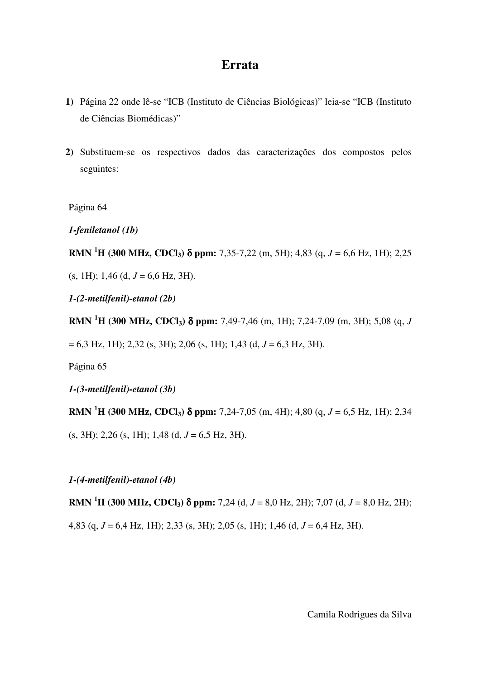## **Errata**

- **1)** Página 22 onde lê-se "ICB (Instituto de Ciências Biológicas)" leia-se "ICB (Instituto de Ciências Biomédicas)"
- **2)** Substituem-se os respectivos dados das caracterizações dos compostos pelos seguintes:

Página 64

*1-feniletanol (1b)* 

**RMN** <sup>1</sup>**H** (300 MHz, CDCl<sub>3</sub>)  $\delta$  ppm: 7,35-7,22 (m, 5H); 4,83 (q, *J* = 6,6 Hz, 1H); 2,25

 $(s, 1H)$ ; 1,46 (d,  $J = 6,6$  Hz, 3H).

*1-(2-metilfenil)-etanol (2b)* 

**RMN <sup>1</sup>H (300 MHz, CDCl3)** δ **ppm:** 7,49-7,46 (m, 1H); 7,24-7,09 (m, 3H); 5,08 (q, *J*

= 6,3 Hz, 1H); 2,32 (s, 3H); 2,06 (s, 1H); 1,43 (d, *J* = 6,3 Hz, 3H).

Página 65

*1-(3-metilfenil)-etanol (3b)* 

**RMN** <sup>1</sup>**H** (300 MHz, CDCl<sub>3</sub>)  $\delta$  ppm: 7,24-7,05 (m, 4H); 4,80 (q, *J* = 6,5 Hz, 1H); 2,34

 $(s, 3H)$ ; 2,26  $(s, 1H)$ ; 1,48  $(d, J = 6.5 Hz, 3H)$ .

*1-(4-metilfenil)-etanol (4b)* 

**RMN** <sup>1</sup>**H** (300 MHz, CDCl<sub>3</sub>)  $\delta$  ppm: 7,24 (d, *J* = 8,0 Hz, 2H); 7,07 (d, *J* = 8,0 Hz, 2H);

4,83 (q, *J* = 6,4 Hz, 1H); 2,33 (s, 3H); 2,05 (s, 1H); 1,46 (d, *J* = 6,4 Hz, 3H).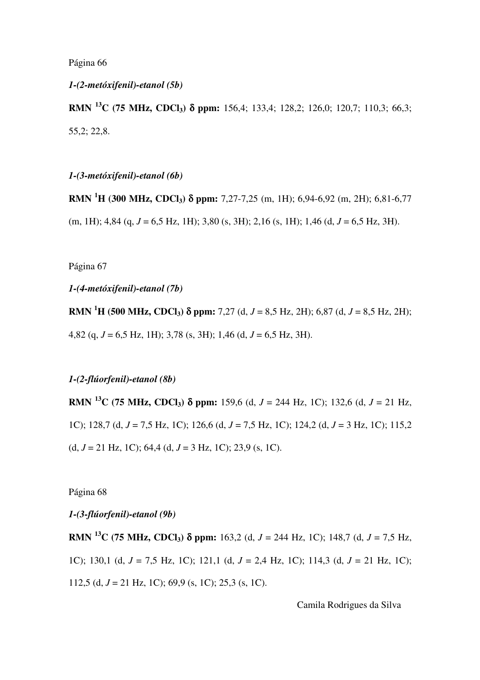Página 66

#### *1-(2-metóxifenil)-etanol (5b)*

**RMN <sup>13</sup>C (75 MHz, CDCl3)** δ **ppm:** 156,4; 133,4; 128,2; 126,0; 120,7; 110,3; 66,3; 55,2; 22,8.

*1-(3-metóxifenil)-etanol (6b)* 

**RMN <sup>1</sup>H (300 MHz, CDCl3)** δ **ppm:** 7,27-7,25 (m, 1H); 6,94-6,92 (m, 2H); 6,81-6,77 (m, 1H); 4,84 (q, *J* = 6,5 Hz, 1H); 3,80 (s, 3H); 2,16 (s, 1H); 1,46 (d, *J* = 6,5 Hz, 3H).

Página 67

*1-(4-metóxifenil)-etanol (7b)* 

**RMN** <sup>1</sup>**H** (500 MHz, CDCl<sub>3</sub>)  $\delta$  ppm: 7,27 (d, *J* = 8,5 Hz, 2H); 6,87 (d, *J* = 8,5 Hz, 2H); 4,82 (q, *J* = 6,5 Hz, 1H); 3,78 (s, 3H); 1,46 (d, *J* = 6,5 Hz, 3H).

### *1-(2-flúorfenil)-etanol (8b)*

**RMN** <sup>13</sup>**C** (75 MHz, CDCl<sub>3</sub>)  $\delta$  ppm: 159,6 (d, *J* = 244 Hz, 1C); 132,6 (d, *J* = 21 Hz, 1C); 128,7 (d, *J* = 7,5 Hz, 1C); 126,6 (d, *J* = 7,5 Hz, 1C); 124,2 (d, *J* = 3 Hz, 1C); 115,2 (d, *J* = 21 Hz, 1C); 64,4 (d, *J* = 3 Hz, 1C); 23,9 (s, 1C).

Página 68

*1-(3-flúorfenil)-etanol (9b)* 

**RMN <sup>13</sup>C (75 MHz, CDCl3)** δ **ppm:** 163,2 (d, *J* = 244 Hz, 1C); 148,7 (d, *J* = 7,5 Hz, 1C); 130,1 (d, *J* = 7,5 Hz, 1C); 121,1 (d, *J* = 2,4 Hz, 1C); 114,3 (d, *J* = 21 Hz, 1C); 112,5 (d, *J* = 21 Hz, 1C); 69,9 (s, 1C); 25,3 (s, 1C).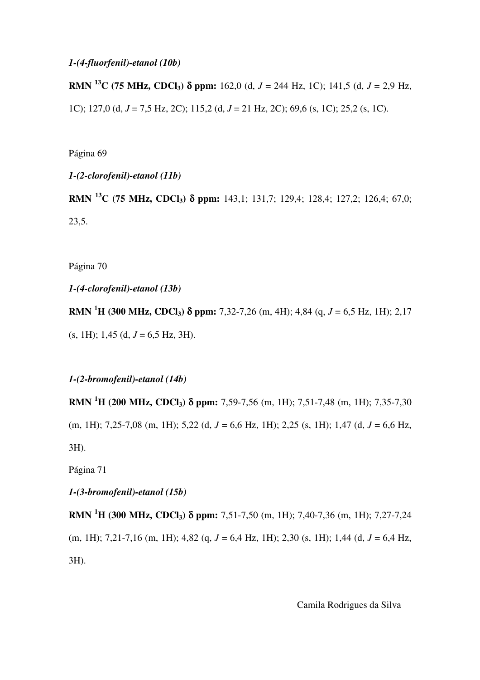#### *1-(4-fluorfenil)-etanol (10b)*

**RMN <sup>13</sup>C (75 MHz, CDCl3)** δ **ppm:** 162,0 (d, *J* = 244 Hz, 1C); 141,5 (d, *J* = 2,9 Hz, 1C); 127,0 (d, *J* = 7,5 Hz, 2C); 115,2 (d, *J* = 21 Hz, 2C); 69,6 (s, 1C); 25,2 (s, 1C).

Página 69

*1-(2-clorofenil)-etanol (11b)* 

**RMN <sup>13</sup>C (75 MHz, CDCl3)** δ **ppm:** 143,1; 131,7; 129,4; 128,4; 127,2; 126,4; 67,0; 23,5.

Página 70

*1-(4-clorofenil)-etanol (13b)* 

**RMN <sup>1</sup>H (300 MHz, CDCl3)** δ **ppm:** 7,32-7,26 (m, 4H); 4,84 (q, *J* = 6,5 Hz, 1H); 2,17  $(s, 1H)$ ; 1,45  $(d, J = 6.5 Hz, 3H)$ .

*1-(2-bromofenil)-etanol (14b)* 

**RMN <sup>1</sup>H (200 MHz, CDCl3)** δ **ppm:** 7,59-7,56 (m, 1H); 7,51-7,48 (m, 1H); 7,35-7,30 (m, 1H); 7,25-7,08 (m, 1H); 5,22 (d, *J* = 6,6 Hz, 1H); 2,25 (s, 1H); 1,47 (d, *J* = 6,6 Hz, 3H).

Página 71

*1-(3-bromofenil)-etanol (15b)* 

**RMN <sup>1</sup>H (300 MHz, CDCl3)** δ **ppm:** 7,51-7,50 (m, 1H); 7,40-7,36 (m, 1H); 7,27-7,24 (m, 1H); 7,21-7,16 (m, 1H); 4,82 (q, *J* = 6,4 Hz, 1H); 2,30 (s, 1H); 1,44 (d, *J* = 6,4 Hz, 3H).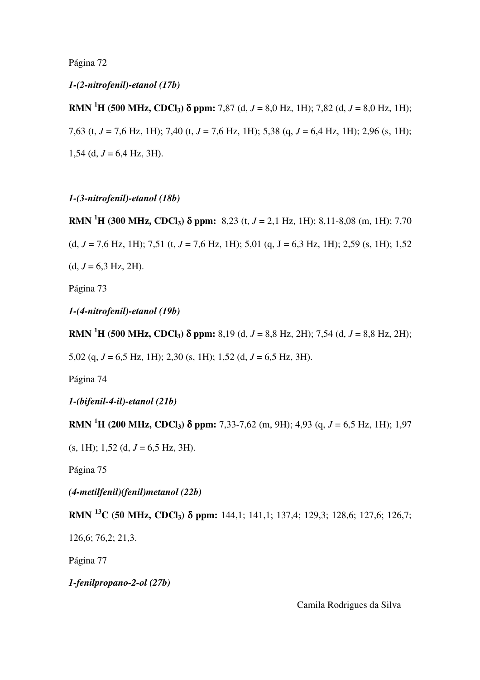Página 72

*1-(2-nitrofenil)-etanol (17b)* 

**RMN** <sup>1</sup>**H** (500 MHz, CDCl<sub>3</sub>)  $\delta$  ppm: 7,87 (d, *J* = 8,0 Hz, 1H); 7,82 (d, *J* = 8,0 Hz, 1H); 7,63 (t, *J* = 7,6 Hz, 1H); 7,40 (t, *J* = 7,6 Hz, 1H); 5,38 (q, *J* = 6,4 Hz, 1H); 2,96 (s, 1H); 1,54 (d,  $J = 6,4$  Hz, 3H).

*1-(3-nitrofenil)-etanol (18b)* 

**RMN <sup>1</sup>H (300 MHz, CDCl3)** δ **ppm:** 8,23 (t, *J* = 2,1 Hz, 1H); 8,11-8,08 (m, 1H); 7,70 (d,  $J = 7.6$  Hz, 1H); 7,51 (t,  $J = 7.6$  Hz, 1H); 5,01 (q,  $J = 6.3$  Hz, 1H); 2,59 (s, 1H); 1,52  $(d, J = 6.3 \text{ Hz}, 2\text{H}).$ 

Página 73

*1-(4-nitrofenil)-etanol (19b)* 

**RMN** <sup>1</sup>**H** (500 MHz, CDCl<sub>3</sub>)  $\delta$  ppm: 8,19 (d, *J* = 8,8 Hz, 2H); 7,54 (d, *J* = 8,8 Hz, 2H);

5,02 (q, *J* = 6,5 Hz, 1H); 2,30 (s, 1H); 1,52 (d, *J* = 6,5 Hz, 3H).

Página 74

*1-(bifenil-4-il)-etanol (21b)* 

**RMN** <sup>1</sup>**H** (200 MHz, CDCl<sub>3</sub>)  $\delta$  ppm: 7,33-7,62 (m, 9H); 4,93 (q, *J* = 6,5 Hz, 1H); 1,97

 $(s, 1H); 1,52$  (d,  $J = 6,5$  Hz, 3H).

Página 75

*(4-metilfenil)(fenil)metanol (22b)* 

**RMN <sup>13</sup>C (50 MHz, CDCl3)** δ **ppm:** 144,1; 141,1; 137,4; 129,3; 128,6; 127,6; 126,7;

126,6; 76,2; 21,3.

Página 77

*1-fenilpropano-2-ol (27b)*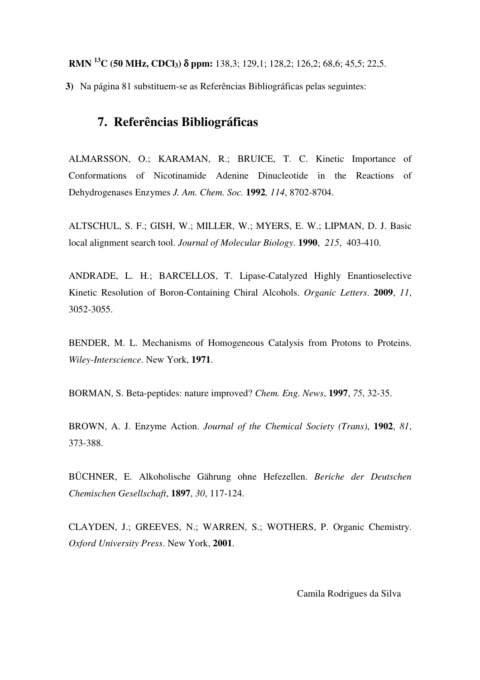**RMN <sup>13</sup>C (50 MHz, CDCl3)** δ **ppm:** 138,3; 129,1; 128,2; 126,2; 68,6; 45,5; 22,5.

**3)** Na página 81 substituem-se as Referências Bibliográficas pelas seguintes:

# **7. Referências Bibliográficas**

ALMARSSON, O.; KARAMAN, R.; BRUICE, T. C. Kinetic Importance of Conformations of Nicotinamide Adenine Dinucleotide in the Reactions of Dehydrogenases Enzymes *J. Am. Chem. Soc.* **1992***, 114*, 8702-8704.

ALTSCHUL, S. F.; GISH, W.; MILLER, W.; MYERS, E. W.; LIPMAN, D. J. Basic local alignment search tool. *Journal of Molecular Biology*. **1990**, *215*, 403-410.

ANDRADE, L. H.; BARCELLOS, T. Lipase-Catalyzed Highly Enantioselective Kinetic Resolution of Boron-Containing Chiral Alcohols. *Organic Letters*. **2009**, *11*, 3052-3055.

BENDER, M. L. Mechanisms of Homogeneous Catalysis from Protons to Proteins. *Wiley-Interscience*. New York, **1971**.

BORMAN, S. Beta-peptides: nature improved? *Chem. Eng. News*, **1997**, *75*, 32-35.

BROWN, A. J. Enzyme Action. *Journal of the Chemical Society (Trans)*, **1902**, *81*, 373-388.

BÜCHNER, E. Alkoholische Gährung ohne Hefezellen. *Beriche der Deutschen Chemischen Gesellschaft*, **1897**, *30*, 117-124.

CLAYDEN, J.; GREEVES, N.; WARREN, S.; WOTHERS, P. Organic Chemistry. *Oxford University Press*. New York, **2001**.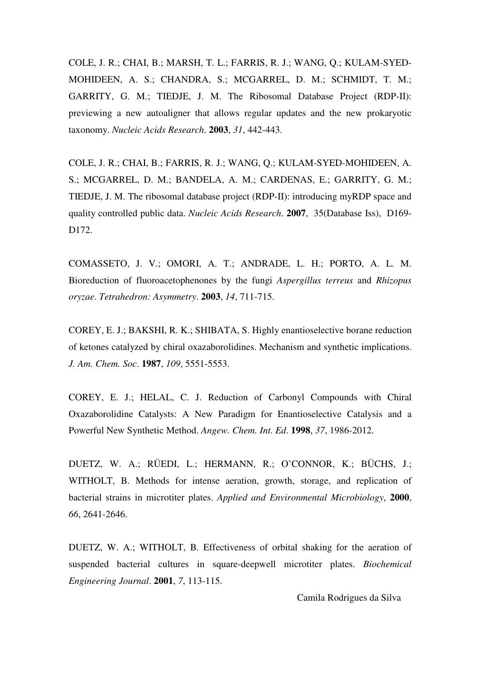COLE, J. R.; CHAI, B.; MARSH, T. L.; FARRIS, R. J.; WANG, Q.; KULAM-SYED-MOHIDEEN, A. S.; CHANDRA, S.; MCGARREL, D. M.; SCHMIDT, T. M.; GARRITY, G. M.; TIEDJE, J. M. The Ribosomal Database Project (RDP-II): previewing a new autoaligner that allows regular updates and the new prokaryotic taxonomy. *Nucleic Acids Research*. **2003**, *31*, 442-443.

COLE, J. R.; CHAI, B.; FARRIS, R. J.; WANG, Q.; KULAM-SYED-MOHIDEEN, A. S.; MCGARREL, D. M.; BANDELA, A. M.; CARDENAS, E.; GARRITY, G. M.; TIEDJE, J. M. The ribosomal database project (RDP-II): introducing myRDP space and quality controlled public data. *Nucleic Acids Research*. **2007**, 35(Database Iss), D169- D<sub>172</sub>.

COMASSETO, J. V.; OMORI, A. T.; ANDRADE, L. H.; PORTO, A. L. M. Bioreduction of fluoroacetophenones by the fungi *Aspergillus terreus* and *Rhizopus oryzae*. *Tetrahedron: Asymmetry*. **2003**, *14*, 711-715.

COREY, E. J.; BAKSHI, R. K.; SHIBATA, S. Highly enantioselective borane reduction of ketones catalyzed by chiral oxazaborolidines. Mechanism and synthetic implications. *J. Am. Chem. Soc*. **1987**, *109*, 5551-5553.

COREY, E. J.; HELAL, C. J. Reduction of Carbonyl Compounds with Chiral Oxazaborolidine Catalysts: A New Paradigm for Enantioselective Catalysis and a Powerful New Synthetic Method. *Angew. Chem. Int. Ed*. **1998**, *37*, 1986-2012.

DUETZ, W. A.; RÜEDI, L.; HERMANN, R.; O'CONNOR, K.; BÜCHS, J.; WITHOLT, B. Methods for intense aeration, growth, storage, and replication of bacterial strains in microtiter plates. *Applied and Environmental Microbiology*, **2000**, *66*, 2641-2646.

DUETZ, W. A.; WITHOLT, B. Effectiveness of orbital shaking for the aeration of suspended bacterial cultures in square-deepwell microtiter plates. *Biochemical Engineering Journal*. **2001**, *7*, 113-115.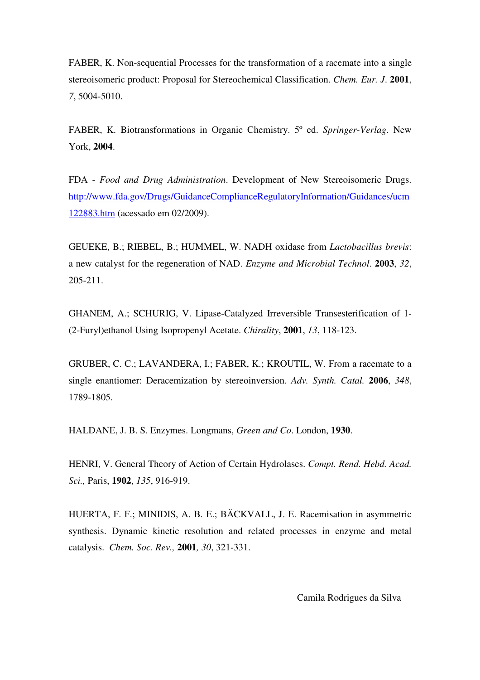FABER, K. Non-sequential Processes for the transformation of a racemate into a single stereoisomeric product: Proposal for Stereochemical Classification. *Chem. Eur. J*. **2001**, *7*, 5004-5010.

FABER, K. Biotransformations in Organic Chemistry. 5º ed. *Springer-Verlag*. New York, **2004**.

FDA - *Food and Drug Administration*. Development of New Stereoisomeric Drugs. http://www.fda.gov/Drugs/GuidanceComplianceRegulatoryInformation/Guidances/ucm 122883.htm (acessado em 02/2009).

GEUEKE, B.; RIEBEL, B.; HUMMEL, W. NADH oxidase from *Lactobacillus brevis*: a new catalyst for the regeneration of NAD. *Enzyme and Microbial Technol*. **2003**, *32*, 205-211.

GHANEM, A.; SCHURIG, V. Lipase-Catalyzed Irreversible Transesterification of 1- (2-Furyl)ethanol Using Isopropenyl Acetate. *Chirality*, **2001**, *13*, 118-123.

GRUBER, C. C.; LAVANDERA, I.; FABER, K.; KROUTIL, W. From a racemate to a single enantiomer: Deracemization by stereoinversion. *Adv. Synth. Catal.* **2006**, *348*, 1789-1805.

HALDANE, J. B. S. Enzymes. Longmans, *Green and Co*. London, **1930**.

HENRI, V. General Theory of Action of Certain Hydrolases. *Compt. Rend. Hebd. Acad. Sci.,* Paris, **1902**, *135*, 916-919.

HUERTA, F. F.; MINIDIS, A. B. E.; BÄCKVALL, J. E. Racemisation in asymmetric synthesis. Dynamic kinetic resolution and related processes in enzyme and metal catalysis. *Chem. Soc. Rev.,* **2001***, 30*, 321-331.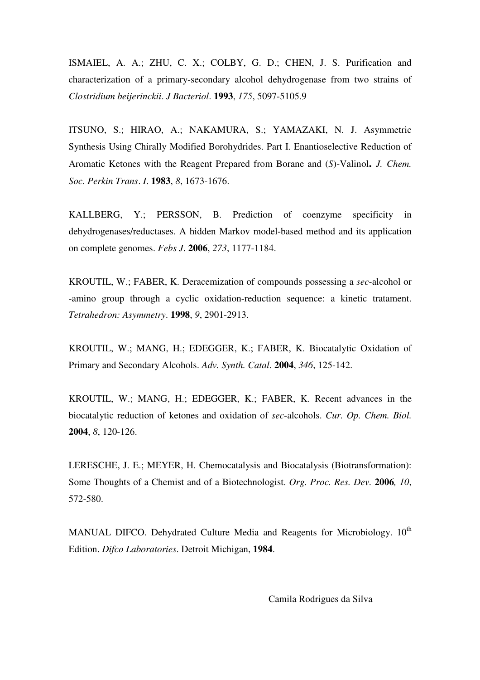ISMAIEL, A. A.; ZHU, C. X.; COLBY, G. D.; CHEN, J. S. Purification and characterization of a primary-secondary alcohol dehydrogenase from two strains of *Clostridium beijerinckii*. *J Bacteriol*. **1993**, *175*, 5097-5105.9

ITSUNO, S.; HIRAO, A.; NAKAMURA, S.; YAMAZAKI, N. J. Asymmetric Synthesis Using Chirally Modified Borohydrides. Part I. Enantioselective Reduction of Aromatic Ketones with the Reagent Prepared from Borane and (*S*)-Valinol**.** *J. Chem. Soc. Perkin Trans*. *I*. **1983**, *8*, 1673-1676.

KALLBERG, Y.; PERSSON, B. Prediction of coenzyme specificity in dehydrogenases/reductases. A hidden Markov model-based method and its application on complete genomes. *Febs J*. **2006**, *273*, 1177-1184.

KROUTIL, W.; FABER, K. Deracemization of compounds possessing a *sec*-alcohol or -amino group through a cyclic oxidation-reduction sequence: a kinetic tratament. *Tetrahedron: Asymmetry*. **1998**, *9*, 2901-2913.

KROUTIL, W.; MANG, H.; EDEGGER, K.; FABER, K. Biocatalytic Oxidation of Primary and Secondary Alcohols. *Adv. Synth. Catal*. **2004**, *346*, 125-142.

KROUTIL, W.; MANG, H.; EDEGGER, K.; FABER, K. Recent advances in the biocatalytic reduction of ketones and oxidation of *sec*-alcohols. *Cur. Op. Chem. Biol.* **2004**, *8*, 120-126.

LERESCHE, J. E.; MEYER, H. Chemocatalysis and Biocatalysis (Biotransformation): Some Thoughts of a Chemist and of a Biotechnologist. *Org. Proc. Res. Dev.* **2006***, 10*, 572-580.

MANUAL DIFCO. Dehydrated Culture Media and Reagents for Microbiology. 10<sup>th</sup> Edition. *Difco Laboratories*. Detroit Michigan, **1984**.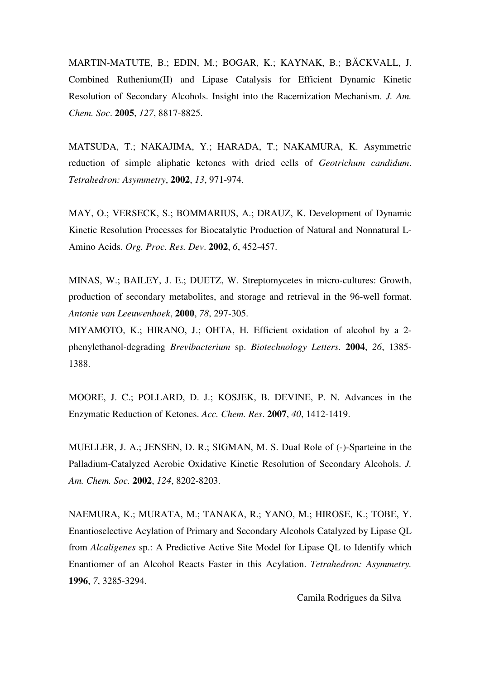MARTIN-MATUTE, B.; EDIN, M.; BOGAR, K.; KAYNAK, B.; BÄCKVALL, J. Combined Ruthenium(II) and Lipase Catalysis for Efficient Dynamic Kinetic Resolution of Secondary Alcohols. Insight into the Racemization Mechanism. *J. Am. Chem. Soc*. **2005**, *127*, 8817-8825.

MATSUDA, T.; NAKAJIMA, Y.; HARADA, T.; NAKAMURA, K. Asymmetric reduction of simple aliphatic ketones with dried cells of *Geotrichum candidum*. *Tetrahedron: Asymmetry*, **2002**, *13*, 971-974.

MAY, O.; VERSECK, S.; BOMMARIUS, A.; DRAUZ, K. Development of Dynamic Kinetic Resolution Processes for Biocatalytic Production of Natural and Nonnatural L-Amino Acids. *Org. Proc. Res. Dev*. **2002**, *6*, 452-457.

MINAS, W.; BAILEY, J. E.; DUETZ, W. Streptomycetes in micro-cultures: Growth, production of secondary metabolites, and storage and retrieval in the 96-well format. *Antonie van Leeuwenhoek*, **2000**, *78*, 297-305.

MIYAMOTO, K.; HIRANO, J.; OHTA, H. Efficient oxidation of alcohol by a 2 phenylethanol-degrading *Brevibacterium* sp. *Biotechnology Letters*. **2004**, *26*, 1385- 1388.

MOORE, J. C.; POLLARD, D. J.; KOSJEK, B. DEVINE, P. N. Advances in the Enzymatic Reduction of Ketones. *Acc. Chem. Res*. **2007**, *40*, 1412-1419.

MUELLER, J. A.; JENSEN, D. R.; SIGMAN, M. S. Dual Role of (-)-Sparteine in the Palladium-Catalyzed Aerobic Oxidative Kinetic Resolution of Secondary Alcohols. *J. Am. Chem. Soc.* **2002**, *124*, 8202-8203.

NAEMURA, K.; MURATA, M.; TANAKA, R.; YANO, M.; HIROSE, K.; TOBE, Y. Enantioselective Acylation of Primary and Secondary Alcohols Catalyzed by Lipase QL from *Alcaligenes* sp.: A Predictive Active Site Model for Lipase QL to Identify which Enantiomer of an Alcohol Reacts Faster in this Acylation. *Tetrahedron: Asymmetry.* **1996**, *7*, 3285-3294.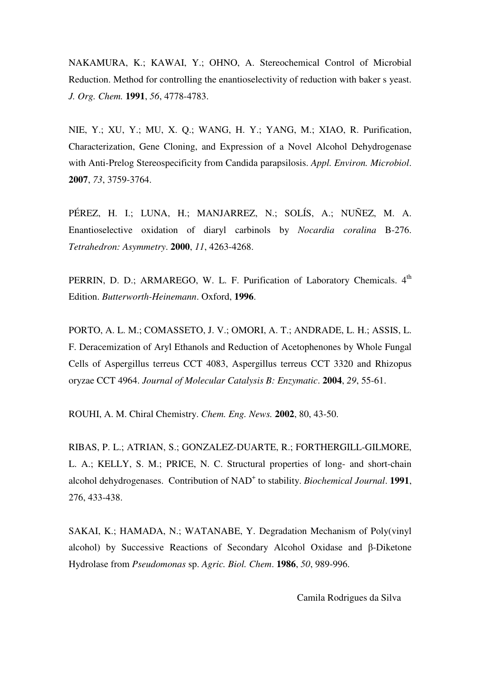NAKAMURA, K.; KAWAI, Y.; OHNO, A. Stereochemical Control of Microbial Reduction. Method for controlling the enantioselectivity of reduction with baker s yeast. *J. Org. Chem.* **1991**, *56*, 4778-4783.

NIE, Y.; XU, Y.; MU, X. Q.; WANG, H. Y.; YANG, M.; XIAO, R. Purification, Characterization, Gene Cloning, and Expression of a Novel Alcohol Dehydrogenase with Anti-Prelog Stereospecificity from Candida parapsilosis. *Appl. Environ. Microbiol*. **2007**, *73*, 3759-3764.

PÉREZ, H. I.; LUNA, H.; MANJARREZ, N.; SOLÍS, A.; NUÑEZ, M. A. Enantioselective oxidation of diaryl carbinols by *Nocardia coralina* B-276. *Tetrahedron: Asymmetry*. **2000**, *11*, 4263-4268.

PERRIN, D. D.; ARMAREGO, W. L. F. Purification of Laboratory Chemicals. 4<sup>th</sup> Edition. *Butterworth-Heinemann*. Oxford, **1996**.

PORTO, A. L. M.; COMASSETO, J. V.; OMORI, A. T.; ANDRADE, L. H.; ASSIS, L. F. Deracemization of Aryl Ethanols and Reduction of Acetophenones by Whole Fungal Cells of Aspergillus terreus CCT 4083, Aspergillus terreus CCT 3320 and Rhizopus oryzae CCT 4964. *Journal of Molecular Catalysis B: Enzymatic*. **2004**, *29*, 55-61.

ROUHI, A. M. Chiral Chemistry. *Chem. Eng. News.* **2002**, 80, 43-50.

RIBAS, P. L.; ATRIAN, S.; GONZALEZ-DUARTE, R.; FORTHERGILL-GILMORE, L. A.; KELLY, S. M.; PRICE, N. C. Structural properties of long- and short-chain alcohol dehydrogenases. Contribution of NAD<sup>+</sup> to stability. *Biochemical Journal*. 1991, 276, 433-438.

SAKAI, K.; HAMADA, N.; WATANABE, Y. Degradation Mechanism of Poly(vinyl alcohol) by Successive Reactions of Secondary Alcohol Oxidase and β-Diketone Hydrolase from *Pseudomonas* sp. *Agric. Biol. Chem*. **1986**, *50*, 989-996.